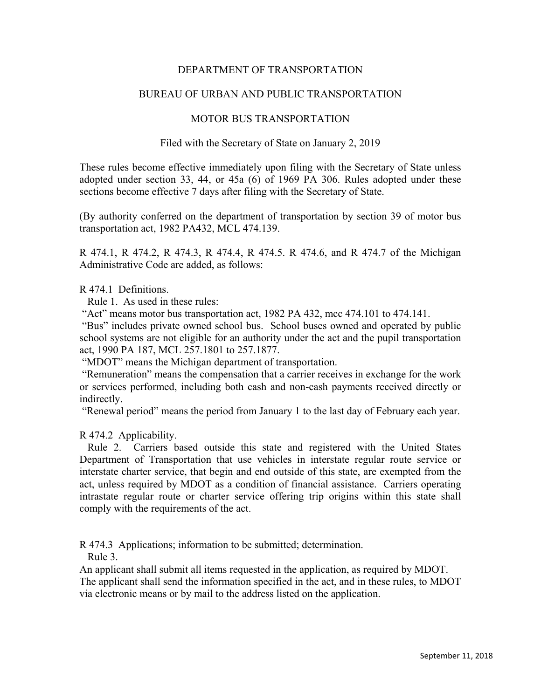# DEPARTMENT OF TRANSPORTATION

# BUREAU OF URBAN AND PUBLIC TRANSPORTATION

### MOTOR BUS TRANSPORTATION

### Filed with the Secretary of State on January 2, 2019

These rules become effective immediately upon filing with the Secretary of State unless adopted under section 33, 44, or 45a (6) of 1969 PA 306. Rules adopted under these sections become effective 7 days after filing with the Secretary of State.

(By authority conferred on the department of transportation by section 39 of motor bus transportation act, 1982 PA432, MCL 474.139.

R 474.1, R 474.2, R 474.3, R 474.4, R 474.5. R 474.6, and R 474.7 of the Michigan Administrative Code are added, as follows:

### R 474.1 Definitions.

Rule 1. As used in these rules:

"Act" means motor bus transportation act, 1982 PA 432, mcc 474.101 to 474.141.

 "Bus" includes private owned school bus. School buses owned and operated by public school systems are not eligible for an authority under the act and the pupil transportation act, 1990 PA 187, MCL 257.1801 to 257.1877.

"MDOT" means the Michigan department of transportation.

 "Remuneration" means the compensation that a carrier receives in exchange for the work or services performed, including both cash and non-cash payments received directly or indirectly.

"Renewal period" means the period from January 1 to the last day of February each year.

#### R 474.2 Applicability.

 Rule 2. Carriers based outside this state and registered with the United States Department of Transportation that use vehicles in interstate regular route service or interstate charter service, that begin and end outside of this state, are exempted from the act, unless required by MDOT as a condition of financial assistance. Carriers operating intrastate regular route or charter service offering trip origins within this state shall comply with the requirements of the act.

R 474.3 Applications; information to be submitted; determination.

Rule 3.

An applicant shall submit all items requested in the application, as required by MDOT. The applicant shall send the information specified in the act, and in these rules, to MDOT via electronic means or by mail to the address listed on the application.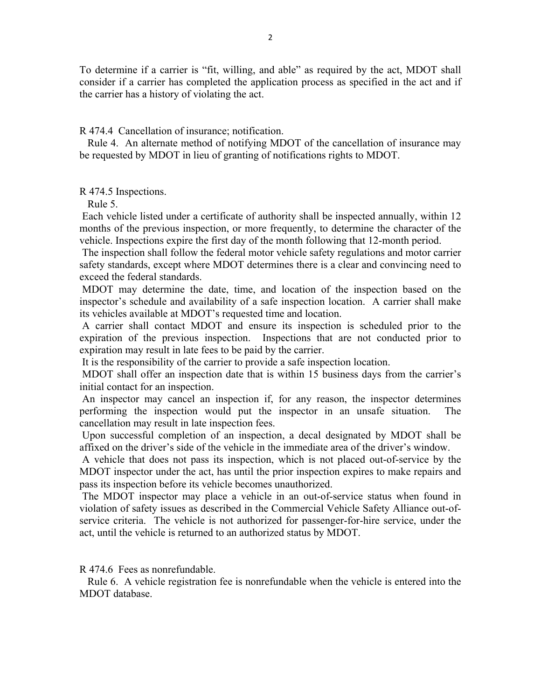To determine if a carrier is "fit, willing, and able" as required by the act, MDOT shall consider if a carrier has completed the application process as specified in the act and if the carrier has a history of violating the act.

R 474.4 Cancellation of insurance; notification.

 Rule 4. An alternate method of notifying MDOT of the cancellation of insurance may be requested by MDOT in lieu of granting of notifications rights to MDOT.

R 474.5 Inspections.

Rule 5.

 Each vehicle listed under a certificate of authority shall be inspected annually, within 12 months of the previous inspection, or more frequently, to determine the character of the vehicle. Inspections expire the first day of the month following that 12-month period.

 The inspection shall follow the federal motor vehicle safety regulations and motor carrier safety standards, except where MDOT determines there is a clear and convincing need to exceed the federal standards.

 MDOT may determine the date, time, and location of the inspection based on the inspector's schedule and availability of a safe inspection location. A carrier shall make its vehicles available at MDOT's requested time and location.

 A carrier shall contact MDOT and ensure its inspection is scheduled prior to the expiration of the previous inspection. Inspections that are not conducted prior to expiration may result in late fees to be paid by the carrier.

It is the responsibility of the carrier to provide a safe inspection location.

 MDOT shall offer an inspection date that is within 15 business days from the carrier's initial contact for an inspection.

 An inspector may cancel an inspection if, for any reason, the inspector determines performing the inspection would put the inspector in an unsafe situation. The cancellation may result in late inspection fees.

 Upon successful completion of an inspection, a decal designated by MDOT shall be affixed on the driver's side of the vehicle in the immediate area of the driver's window.

 A vehicle that does not pass its inspection, which is not placed out-of-service by the MDOT inspector under the act, has until the prior inspection expires to make repairs and pass its inspection before its vehicle becomes unauthorized.

 The MDOT inspector may place a vehicle in an out-of-service status when found in violation of safety issues as described in the Commercial Vehicle Safety Alliance out-ofservice criteria. The vehicle is not authorized for passenger-for-hire service, under the act, until the vehicle is returned to an authorized status by MDOT.

R 474.6 Fees as nonrefundable.

 Rule 6. A vehicle registration fee is nonrefundable when the vehicle is entered into the MDOT database.